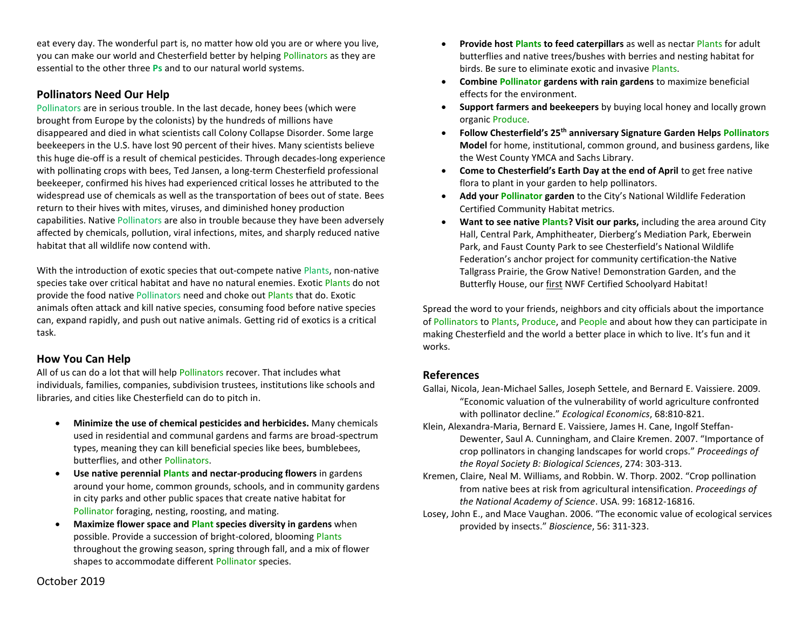eat every day. The wonderful part is, no matter how old you are or where you live, you can make our world and Chesterfield better by helping Pollinators as they are essential to the other three **Ps** and to our natural world systems.

# **Pollinators Need Our Help**

Pollinators are in serious trouble. In the last decade, honey bees (which were brought from Europe by the colonists) by the hundreds of millions have disappeared and died in what scientists call Colony Collapse Disorder. Some large beekeepers in the U.S. have lost 90 percent of their hives. Many scientists believe this huge die-off is a result of chemical pesticides. Through decades-long experience with pollinating crops with bees, Ted Jansen, a long-term Chesterfield professional beekeeper, confirmed his hives had experienced critical losses he attributed to the widespread use of chemicals as well as the transportation of bees out of state. Bees return to their hives with mites, viruses, and diminished honey production capabilities. Native Pollinators are also in trouble because they have been adversely affected by chemicals, pollution, viral infections, mites, and sharply reduced native habitat that all wildlife now contend with.

With the introduction of exotic species that out-compete native Plants, non-native species take over critical habitat and have no natural enemies. Exotic Plants do not provide the food native Pollinators need and choke out Plants that do. Exotic animals often attack and kill native species, consuming food before native species can, expand rapidly, and push out native animals. Getting rid of exotics is a critical task.

# **How You Can Help**

All of us can do a lot that will help Pollinators recover. That includes what individuals, families, companies, subdivision trustees, institutions like schools and libraries, and cities like Chesterfield can do to pitch in.

- **Minimize the use of chemical pesticides and herbicides.** Many chemicals used in residential and communal gardens and farms are broad-spectrum types, meaning they can kill beneficial species like bees, bumblebees, butterflies, and other Pollinators.
- **Use native perennial Plants and nectar-producing flowers** in gardens around your home, common grounds, schools, and in community gardens in city parks and other public spaces that create native habitat for Pollinator foraging, nesting, roosting, and mating.
- **Maximize flower space and Plant species diversity in gardens** when possible. Provide a succession of bright-colored, blooming Plants throughout the growing season, spring through fall, and a mix of flower shapes to accommodate different Pollinator species.
- **Provide host Plants to feed caterpillars** as well as nectar Plants for adult butterflies and native trees/bushes with berries and nesting habitat for birds. Be sure to eliminate exotic and invasive Plants.
- **Combine Pollinator gardens with rain gardens** to maximize beneficial effects for the environment.
- **Support farmers and beekeepers** by buying local honey and locally grown organic Produce.
- **Follow Chesterfield's 25th anniversary Signature Garden Helps Pollinators Model** for home, institutional, common ground, and business gardens, like the West County YMCA and Sachs Library.
- **Come to Chesterfield's Earth Day at the end of April** to get free native flora to plant in your garden to help pollinators.
- **Add your Pollinator garden** to the City's National Wildlife Federation Certified Community Habitat metrics.
- **Want to see native Plants? Visit our parks,** including the area around City Hall, Central Park, Amphitheater, Dierberg's Mediation Park, Eberwein Park, and Faust County Park to see Chesterfield's National Wildlife Federation's anchor project for community certification-the Native Tallgrass Prairie, the Grow Native! Demonstration Garden, and the Butterfly House, our first NWF Certified Schoolyard Habitat!

Spread the word to your friends, neighbors and city officials about the importance of Pollinators to Plants, Produce, and People and about how they can participate in making Chesterfield and the world a better place in which to live. It's fun and it works.

# **References**

- Gallai, Nicola, Jean-Michael Salles, Joseph Settele, and Bernard E. Vaissiere. 2009. "Economic valuation of the vulnerability of world agriculture confronted with pollinator decline." *Ecological Economics*, 68:810-821.
- Klein, Alexandra-Maria, Bernard E. Vaissiere, James H. Cane, Ingolf Steffan-Dewenter, Saul A. Cunningham, and Claire Kremen. 2007. "Importance of crop pollinators in changing landscapes for world crops." *Proceedings of the Royal Society B: Biological Sciences*, 274: 303-313.
- Kremen, Claire, Neal M. Williams, and Robbin. W. Thorp. 2002. "Crop pollination from native bees at risk from agricultural intensification. *Proceedings of the National Academy of Science*. USA. 99: 16812-16816.
- Losey, John E., and Mace Vaughan. 2006. "The economic value of ecological services provided by insects." *Bioscience*, 56: 311-323.